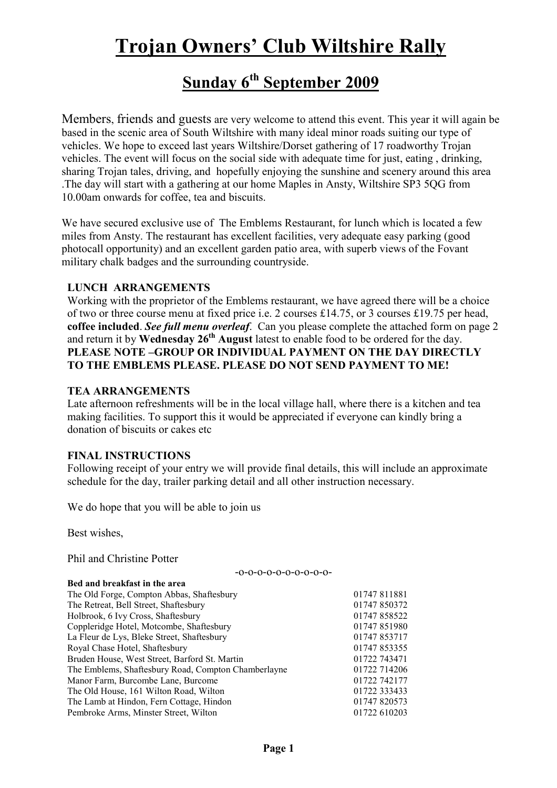# Trojan Owners' Club Wiltshire Rally

# Sunday 6<sup>th</sup> September 2009

Members, friends and guests are very welcome to attend this event. This year it will again be based in the scenic area of South Wiltshire with many ideal minor roads suiting our type of vehicles. We hope to exceed last years Wiltshire/Dorset gathering of 17 roadworthy Trojan vehicles. The event will focus on the social side with adequate time for just, eating , drinking, sharing Trojan tales, driving, and hopefully enjoying the sunshine and scenery around this area .The day will start with a gathering at our home Maples in Ansty, Wiltshire SP3 5QG from 10.00am onwards for coffee, tea and biscuits.

We have secured exclusive use of The Emblems Restaurant, for lunch which is located a few miles from Ansty. The restaurant has excellent facilities, very adequate easy parking (good photocall opportunity) and an excellent garden patio area, with superb views of the Fovant military chalk badges and the surrounding countryside.

### LUNCH ARRANGEMENTS

Working with the proprietor of the Emblems restaurant, we have agreed there will be a choice of two or three course menu at fixed price i.e. 2 courses £14.75, or 3 courses £19.75 per head, coffee included. See full menu overleaf. Can you please complete the attached form on page 2 and return it by Wednesday 26<sup>th</sup> August latest to enable food to be ordered for the day. PLEASE NOTE –GROUP OR INDIVIDUAL PAYMENT ON THE DAY DIRECTLY TO THE EMBLEMS PLEASE. PLEASE DO NOT SEND PAYMENT TO ME!

#### TEA ARRANGEMENTS

Late afternoon refreshments will be in the local village hall, where there is a kitchen and tea making facilities. To support this it would be appreciated if everyone can kindly bring a donation of biscuits or cakes etc

#### FINAL INSTRUCTIONS

Following receipt of your entry we will provide final details, this will include an approximate schedule for the day, trailer parking detail and all other instruction necessary.

-o-o-o-o-o-o-o-o-o-o-

We do hope that you will be able to join us

Best wishes,

Phil and Christine Potter

| 01747 811881 |
|--------------|
| 01747 850372 |
| 01747858522  |
| 01747 851980 |
| 01747 853717 |
| 01747 853355 |
| 01722 743471 |
| 01722 714206 |
| 01722 742177 |
| 01722 333433 |
| 01747 820573 |
| 01722 610203 |
|              |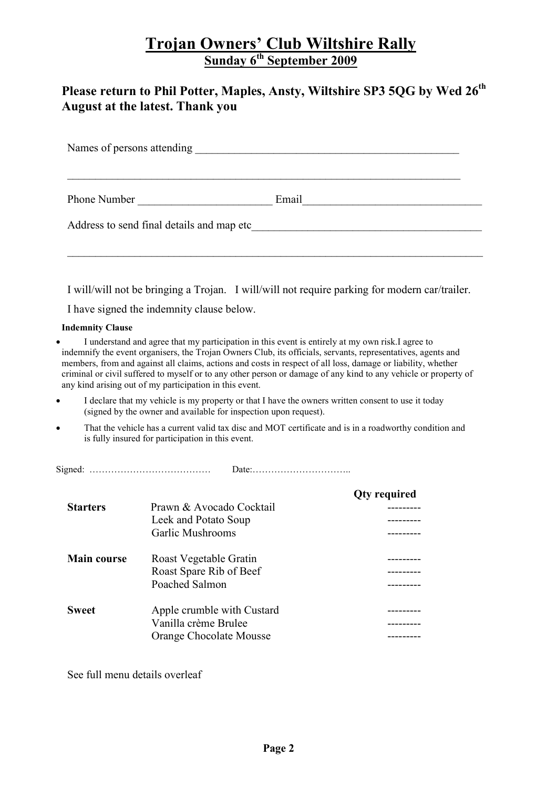### Trojan Owners' Club Wiltshire Rally Sunday 6<sup>th</sup> September 2009

### Please return to Phil Potter, Maples, Ansty, Wiltshire SP3 5QG by Wed 26<sup>th</sup> August at the latest. Thank you

|                         |                                                                  | I will/will not be bringing a Trojan. I will/will not require parking for modern car/trailer.                                                                                                                                                                                                                                                                                                                                                        |
|-------------------------|------------------------------------------------------------------|------------------------------------------------------------------------------------------------------------------------------------------------------------------------------------------------------------------------------------------------------------------------------------------------------------------------------------------------------------------------------------------------------------------------------------------------------|
|                         | I have signed the indemnity clause below.                        |                                                                                                                                                                                                                                                                                                                                                                                                                                                      |
| <b>Indemnity Clause</b> |                                                                  |                                                                                                                                                                                                                                                                                                                                                                                                                                                      |
|                         | any kind arising out of my participation in this event.          | I understand and agree that my participation in this event is entirely at my own risk. I agree to<br>indemnify the event organisers, the Trojan Owners Club, its officials, servants, representatives, agents and<br>members, from and against all claims, actions and costs in respect of all loss, damage or liability, whether<br>criminal or civil suffered to myself or to any other person or damage of any kind to any vehicle or property of |
|                         | (signed by the owner and available for inspection upon request). | I declare that my vehicle is my property or that I have the owners written consent to use it today                                                                                                                                                                                                                                                                                                                                                   |
| $\bullet$               | is fully insured for participation in this event.                | That the vehicle has a current valid tax disc and MOT certificate and is in a roadworthy condition and                                                                                                                                                                                                                                                                                                                                               |
|                         |                                                                  |                                                                                                                                                                                                                                                                                                                                                                                                                                                      |
|                         |                                                                  | <b>Qty required</b>                                                                                                                                                                                                                                                                                                                                                                                                                                  |
| <b>Starters</b>         | Prawn & Avocado Cocktail                                         |                                                                                                                                                                                                                                                                                                                                                                                                                                                      |
|                         | Leek and Potato Soup                                             |                                                                                                                                                                                                                                                                                                                                                                                                                                                      |
|                         | <b>Garlic Mushrooms</b>                                          |                                                                                                                                                                                                                                                                                                                                                                                                                                                      |
| <b>Main course</b>      | Roast Vegetable Gratin                                           | ---------                                                                                                                                                                                                                                                                                                                                                                                                                                            |
|                         | Roast Spare Rib of Beef                                          |                                                                                                                                                                                                                                                                                                                                                                                                                                                      |
|                         | Poached Salmon                                                   |                                                                                                                                                                                                                                                                                                                                                                                                                                                      |
| <b>Sweet</b>            | Apple crumble with Custard                                       | ---------                                                                                                                                                                                                                                                                                                                                                                                                                                            |
|                         | Vanilla crème Brulee                                             |                                                                                                                                                                                                                                                                                                                                                                                                                                                      |
|                         | Orange Chocolate Mousse                                          |                                                                                                                                                                                                                                                                                                                                                                                                                                                      |

See full menu details overleaf